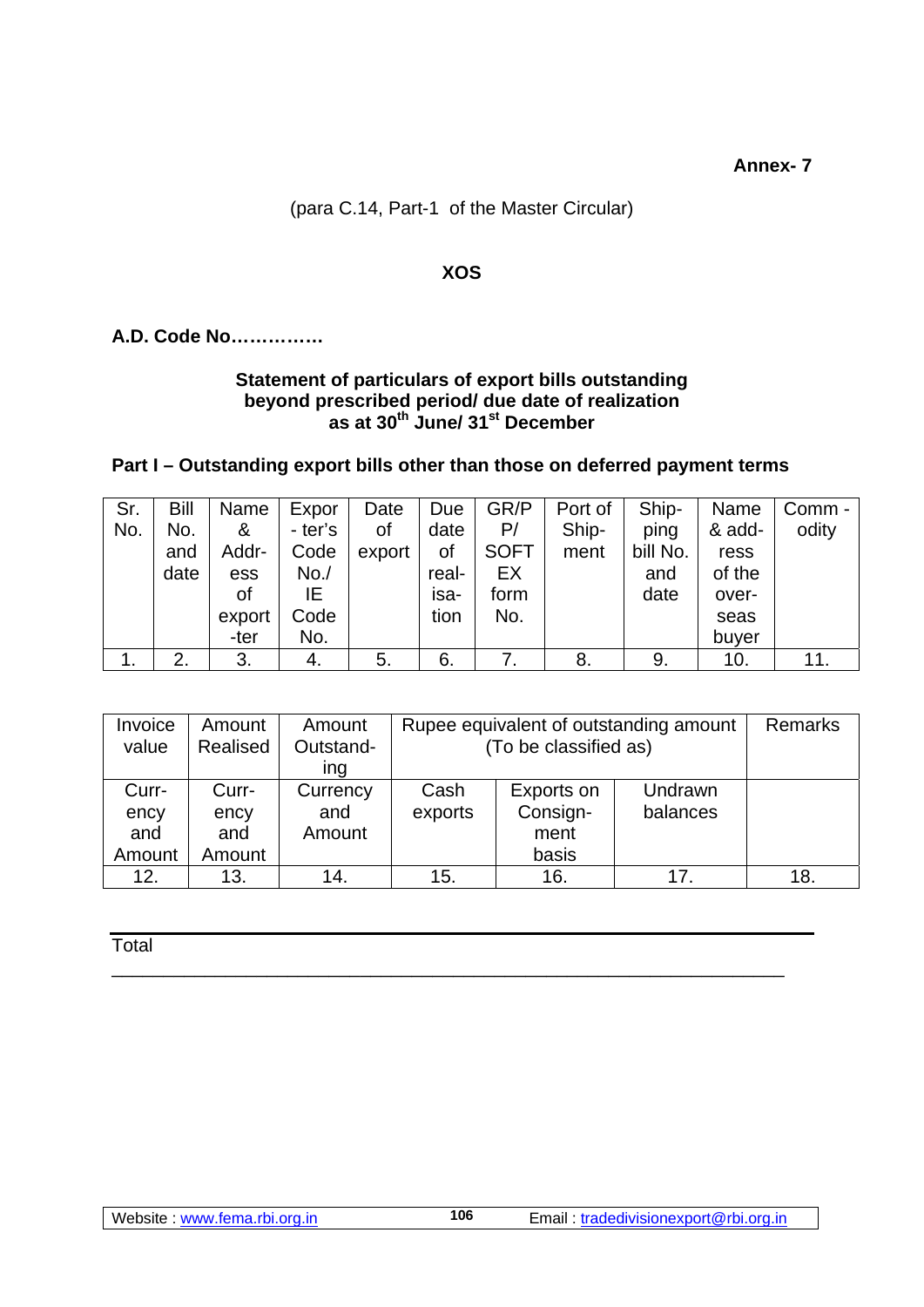**Annex- 7** 

# **XOS**

# **A.D. Code No……………**

### **Statement of particulars of export bills outstanding beyond prescribed period/ due date of realization as at 30th June/ 31st December**

## **Part I – Outstanding export bills other than those on deferred payment terms**

| Sr. | Bill | Name   | Expor   | Date   | Due   | GR/P        | Port of | Ship-    | Name   | Comm - |
|-----|------|--------|---------|--------|-------|-------------|---------|----------|--------|--------|
| No. | No.  | &      | - ter's | 0f     | date  | P/          | Ship-   | ping     | & add- | odity  |
|     | and  | Addr-  | Code    | export | οf    | <b>SOFT</b> | ment    | bill No. | ress   |        |
|     | date | ess    | No. /   |        | real- | EX          |         | and      | of the |        |
|     |      | οf     | ΙE      |        | isa-  | form        |         | date     | over-  |        |
|     |      | export | Code    |        | tion  | No.         |         |          | seas   |        |
|     |      | -ter   | No.     |        |       |             |         |          | buyer  |        |
|     | 2.   | 3.     | 4.      | 5.     | 6.    |             | 8.      | 9.       | 10.    | 11.    |

| Invoice | Amount   | Amount    | Rupee equivalent of outstanding amount | <b>Remarks</b> |          |     |
|---------|----------|-----------|----------------------------------------|----------------|----------|-----|
| value   | Realised | Outstand- | (To be classified as)                  |                |          |     |
|         |          | ing       |                                        |                |          |     |
| Curr-   | Curr-    | Currency  | Cash                                   | Exports on     | Undrawn  |     |
| ency    | ency     | and       | exports                                | Consign-       | balances |     |
| and     | and      | Amount    |                                        | ment           |          |     |
| Amount  | Amount   |           |                                        | basis          |          |     |
| 12.     | 13.      | 14.       | 15.                                    | 16.            | 17.      | 18. |

\_\_\_\_\_\_\_\_\_\_\_\_\_\_\_\_\_\_\_\_\_\_\_\_\_\_\_\_\_\_\_\_\_\_\_\_\_\_\_\_\_\_\_\_\_\_\_\_\_\_\_\_\_\_\_\_\_\_\_\_\_\_\_\_\_

**106**

**Total**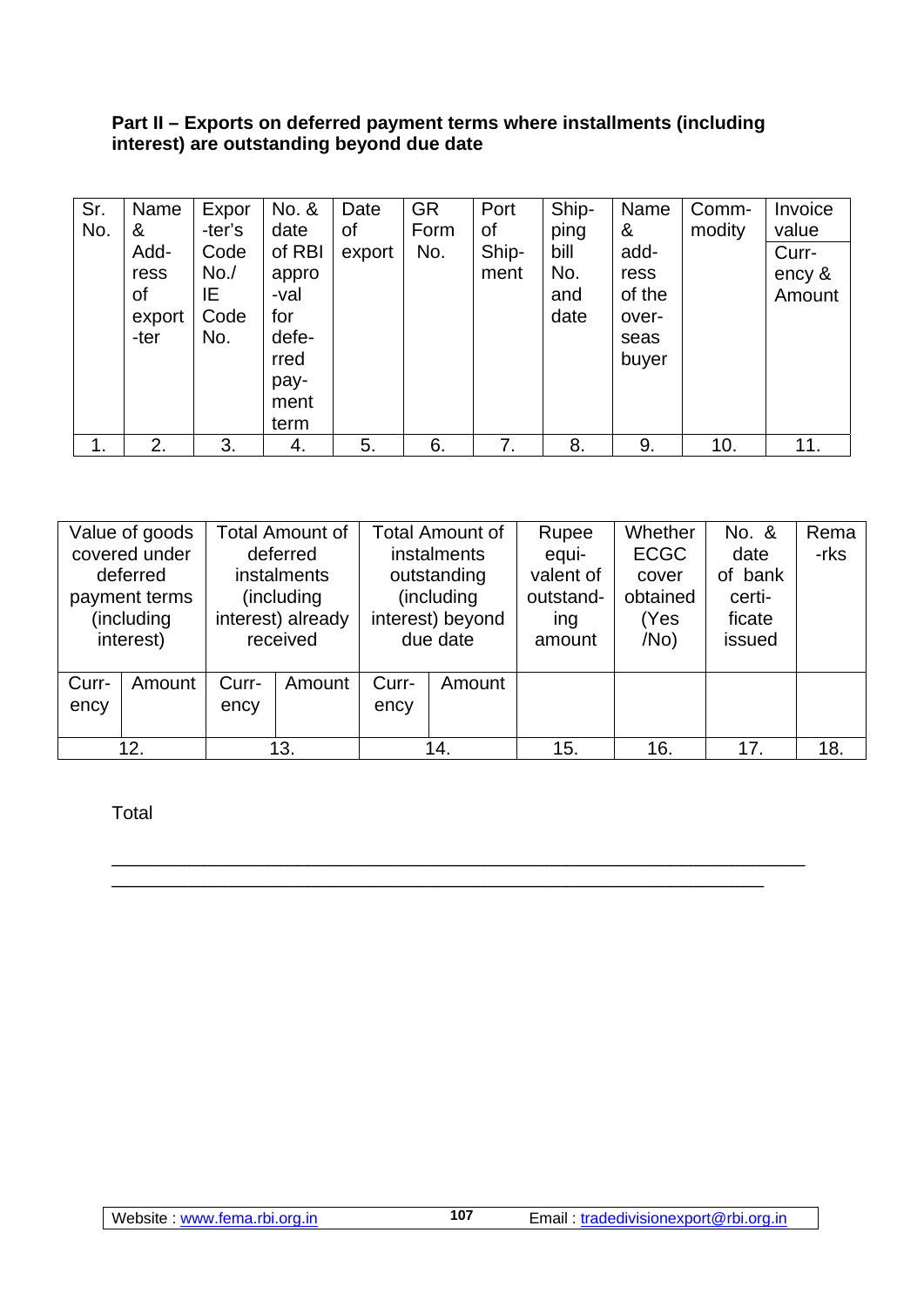#### **Part II – Exports on deferred payment terms where installments (including interest) are outstanding beyond due date**

| Sr.           | Name   | Expor  | No. &  | Date   | <b>GR</b> | Port  | Ship- | Name   | Comm-  | Invoice |
|---------------|--------|--------|--------|--------|-----------|-------|-------|--------|--------|---------|
| No.           | &      | -ter's | date   | οf     | Form      | οf    | ping  | &      | modity | value   |
|               | Add-   | Code   | of RBI | export | No.       | Ship- | bill  | add-   |        | Curr-   |
|               | ress   | No. /  | appro  |        |           | ment  | No.   | ress   |        | ency &  |
|               | οf     | IE.    | -val   |        |           |       | and   | of the |        | Amount  |
|               | export | Code   | for    |        |           |       | date  | over-  |        |         |
|               | -ter   | No.    | defe-  |        |           |       |       | seas   |        |         |
|               |        |        | rred   |        |           |       |       | buyer  |        |         |
|               |        |        | pay-   |        |           |       |       |        |        |         |
|               |        |        | ment   |        |           |       |       |        |        |         |
|               |        |        | term   |        |           |       |       |        |        |         |
| $\mathbf 1$ . | 2.     | 3.     | 4.     | 5.     | 6.        | 7.    | 8.    | 9.     | 10.    | 11.     |

| Value of goods<br>covered under<br>deferred<br>payment terms<br>(including<br>interest) |  | <b>Total Amount of</b><br>deferred<br><i>instalments</i><br>(including)<br>interest) already<br>received |  | <b>Total Amount of</b><br>instalments<br>outstanding<br>(including<br>interest) beyond<br>due date |  | Rupee<br>equi-<br>valent of<br>outstand-<br>ing<br>amount | Whether<br><b>ECGC</b><br>cover<br>obtained<br>(Yes<br>/No) | No. &<br>date<br>of bank<br>certi-<br>ficate<br>issued | Rema<br>-rks |
|-----------------------------------------------------------------------------------------|--|----------------------------------------------------------------------------------------------------------|--|----------------------------------------------------------------------------------------------------|--|-----------------------------------------------------------|-------------------------------------------------------------|--------------------------------------------------------|--------------|
| Curr-<br>Amount<br>ency                                                                 |  | Curr-<br>Amount<br>ency                                                                                  |  | Curr-<br>Amount<br>ency                                                                            |  |                                                           |                                                             |                                                        |              |
| 12.                                                                                     |  | 13.                                                                                                      |  | 14.                                                                                                |  | 15.                                                       | 16.                                                         | 17.                                                    | 18.          |

\_\_\_\_\_\_\_\_\_\_\_\_\_\_\_\_\_\_\_\_\_\_\_\_\_\_\_\_\_\_\_\_\_\_\_\_\_\_\_\_\_\_\_\_\_\_\_\_\_\_\_\_\_\_\_\_\_\_\_\_\_\_\_\_\_\_\_ \_\_\_\_\_\_\_\_\_\_\_\_\_\_\_\_\_\_\_\_\_\_\_\_\_\_\_\_\_\_\_\_\_\_\_\_\_\_\_\_\_\_\_\_\_\_\_\_\_\_\_\_\_\_\_\_\_\_\_\_\_\_\_

**107**

Total